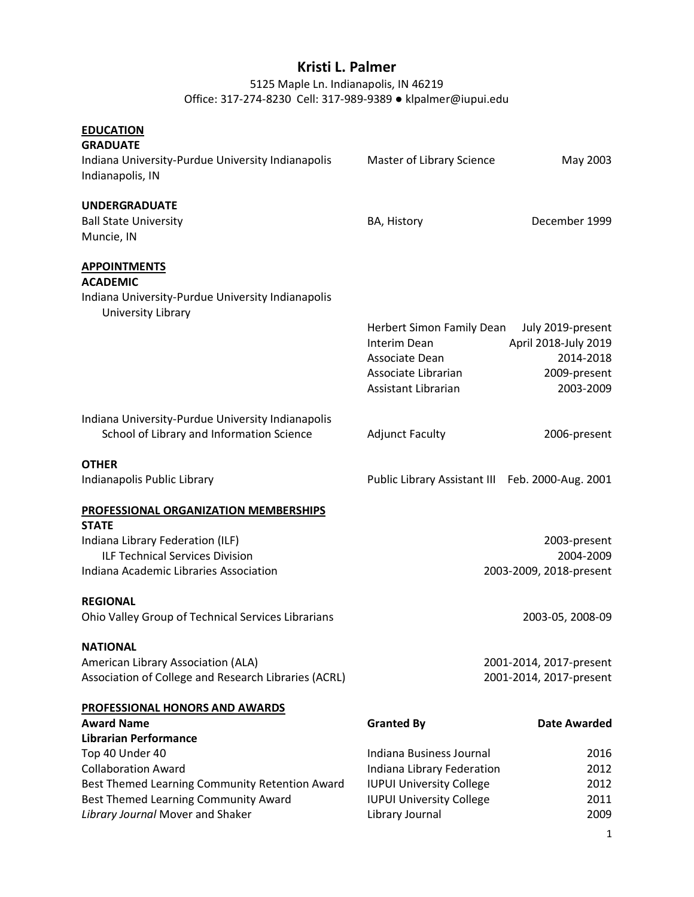# **Kristi L. Palmer**

# 5125 Maple Ln. Indianapolis, IN 46219 Office: 317-274-8230 Cell: 317-989-9389 ● klpalmer@iupui.edu

| <b>EDUCATION</b><br><b>GRADUATE</b><br>Indiana University-Purdue University Indianapolis<br>Indianapolis, IN                                                                                                | Master of Library Science                                                                                                                       | May 2003                                                                            |
|-------------------------------------------------------------------------------------------------------------------------------------------------------------------------------------------------------------|-------------------------------------------------------------------------------------------------------------------------------------------------|-------------------------------------------------------------------------------------|
| <b>UNDERGRADUATE</b><br><b>Ball State University</b><br>Muncie, IN                                                                                                                                          | BA, History                                                                                                                                     | December 1999                                                                       |
| <b>APPOINTMENTS</b><br><b>ACADEMIC</b><br>Indiana University-Purdue University Indianapolis<br>University Library                                                                                           | Herbert Simon Family Dean<br>Interim Dean<br>Associate Dean<br>Associate Librarian<br>Assistant Librarian                                       | July 2019-present<br>April 2018-July 2019<br>2014-2018<br>2009-present<br>2003-2009 |
| Indiana University-Purdue University Indianapolis<br>School of Library and Information Science                                                                                                              | <b>Adjunct Faculty</b>                                                                                                                          | 2006-present                                                                        |
| <b>OTHER</b><br>Indianapolis Public Library                                                                                                                                                                 | Public Library Assistant III Feb. 2000-Aug. 2001                                                                                                |                                                                                     |
| PROFESSIONAL ORGANIZATION MEMBERSHIPS<br><b>STATE</b><br>Indiana Library Federation (ILF)<br><b>ILF Technical Services Division</b><br>Indiana Academic Libraries Association                               |                                                                                                                                                 | 2003-present<br>2004-2009<br>2003-2009, 2018-present                                |
| <b>REGIONAL</b><br>Ohio Valley Group of Technical Services Librarians                                                                                                                                       |                                                                                                                                                 | 2003-05, 2008-09                                                                    |
| <b>NATIONAL</b><br>American Library Association (ALA)<br>Association of College and Research Libraries (ACRL)                                                                                               |                                                                                                                                                 | 2001-2014, 2017-present<br>2001-2014, 2017-present                                  |
| PROFESSIONAL HONORS AND AWARDS<br><b>Award Name</b>                                                                                                                                                         | <b>Granted By</b>                                                                                                                               | Date Awarded                                                                        |
| <b>Librarian Performance</b><br>Top 40 Under 40<br><b>Collaboration Award</b><br>Best Themed Learning Community Retention Award<br>Best Themed Learning Community Award<br>Library Journal Mover and Shaker | Indiana Business Journal<br>Indiana Library Federation<br><b>IUPUI University College</b><br><b>IUPUI University College</b><br>Library Journal | 2016<br>2012<br>2012<br>2011<br>2009                                                |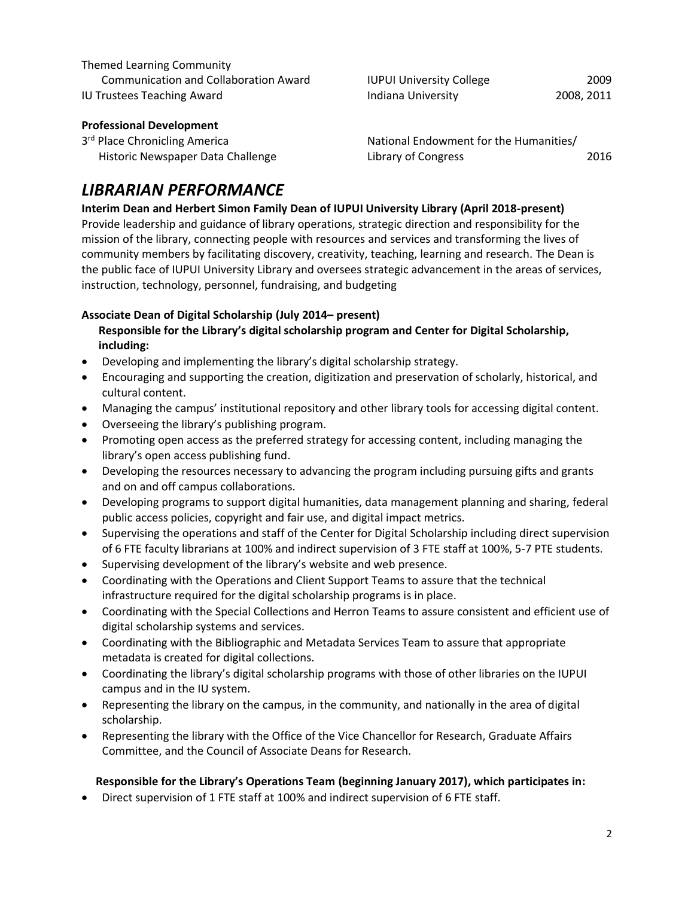| Themed Learning Community                    |                                        |            |
|----------------------------------------------|----------------------------------------|------------|
| <b>Communication and Collaboration Award</b> | <b>IUPUI University College</b>        | 2009       |
| <b>IU Trustees Teaching Award</b>            | Indiana University                     | 2008, 2011 |
| <b>Professional Development</b>              |                                        |            |
| 3rd Place Chronicling America                | National Endowment for the Humanities/ |            |

| 5° Piace Chronicing America       | <b>National Endowment for the Humanities</b> |      |
|-----------------------------------|----------------------------------------------|------|
| Historic Newspaper Data Challenge | Library of Congress                          | 2016 |

# *LIBRARIAN PERFORMANCE*

**Interim Dean and Herbert Simon Family Dean of IUPUI University Library (April 2018-present)** Provide leadership and guidance of library operations, strategic direction and responsibility for the mission of the library, connecting people with resources and services and transforming the lives of community members by facilitating discovery, creativity, teaching, learning and research. The Dean is the public face of IUPUI University Library and oversees strategic advancement in the areas of services, instruction, technology, personnel, fundraising, and budgeting

# **Associate Dean of Digital Scholarship (July 2014– present)**

# **Responsible for the Library's digital scholarship program and Center for Digital Scholarship, including:**

- Developing and implementing the library's digital scholarship strategy.
- Encouraging and supporting the creation, digitization and preservation of scholarly, historical, and cultural content.
- Managing the campus' institutional repository and other library tools for accessing digital content.
- Overseeing the library's publishing program.
- Promoting open access as the preferred strategy for accessing content, including managing the library's open access publishing fund.
- Developing the resources necessary to advancing the program including pursuing gifts and grants and on and off campus collaborations.
- Developing programs to support digital humanities, data management planning and sharing, federal public access policies, copyright and fair use, and digital impact metrics.
- Supervising the operations and staff of the Center for Digital Scholarship including direct supervision of 6 FTE faculty librarians at 100% and indirect supervision of 3 FTE staff at 100%, 5-7 PTE students.
- Supervising development of the library's website and web presence.
- Coordinating with the Operations and Client Support Teams to assure that the technical infrastructure required for the digital scholarship programs is in place.
- Coordinating with the Special Collections and Herron Teams to assure consistent and efficient use of digital scholarship systems and services.
- Coordinating with the Bibliographic and Metadata Services Team to assure that appropriate metadata is created for digital collections.
- Coordinating the library's digital scholarship programs with those of other libraries on the IUPUI campus and in the IU system.
- Representing the library on the campus, in the community, and nationally in the area of digital scholarship.
- Representing the library with the Office of the Vice Chancellor for Research, Graduate Affairs Committee, and the Council of Associate Deans for Research.

## **Responsible for the Library's Operations Team (beginning January 2017), which participates in:**

• Direct supervision of 1 FTE staff at 100% and indirect supervision of 6 FTE staff.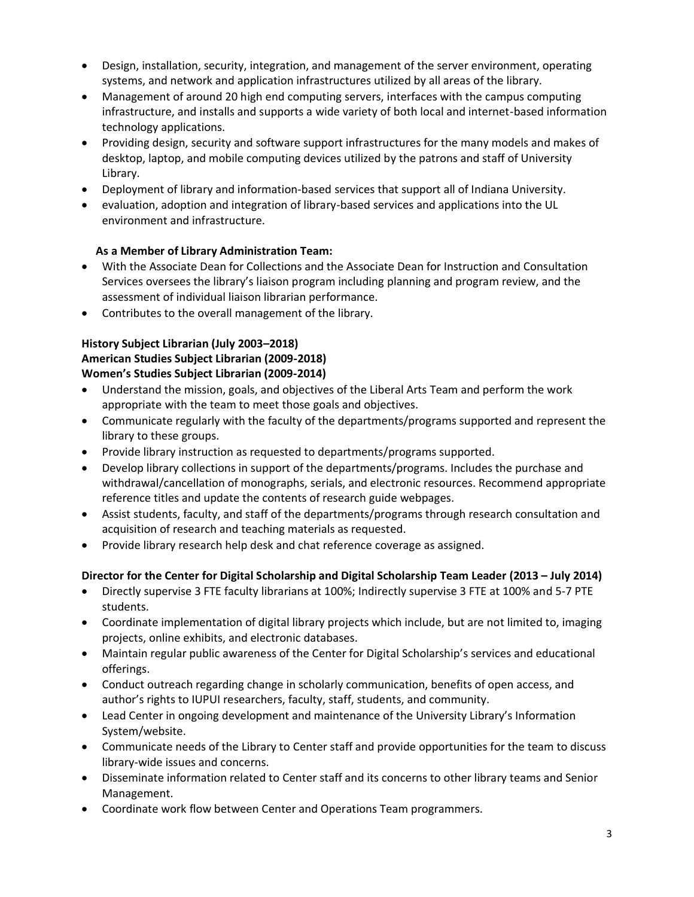- Design, installation, security, integration, and management of the server environment, operating systems, and network and application infrastructures utilized by all areas of the library.
- Management of around 20 high end computing servers, interfaces with the campus computing infrastructure, and installs and supports a wide variety of both local and internet-based information technology applications.
- Providing design, security and software support infrastructures for the many models and makes of desktop, laptop, and mobile computing devices utilized by the patrons and staff of University Library.
- Deployment of library and information-based services that support all of Indiana University.
- evaluation, adoption and integration of library-based services and applications into the UL environment and infrastructure.

## **As a Member of Library Administration Team:**

- With the Associate Dean for Collections and the Associate Dean for Instruction and Consultation Services oversees the library's liaison program including planning and program review, and the assessment of individual liaison librarian performance.
- Contributes to the overall management of the library.

# **History Subject Librarian (July 2003–2018)**

# **American Studies Subject Librarian (2009-2018)**

# **Women's Studies Subject Librarian (2009-2014)**

- Understand the mission, goals, and objectives of the Liberal Arts Team and perform the work appropriate with the team to meet those goals and objectives.
- Communicate regularly with the faculty of the departments/programs supported and represent the library to these groups.
- Provide library instruction as requested to departments/programs supported.
- Develop library collections in support of the departments/programs. Includes the purchase and withdrawal/cancellation of monographs, serials, and electronic resources. Recommend appropriate reference titles and update the contents of research guide webpages.
- Assist students, faculty, and staff of the departments/programs through research consultation and acquisition of research and teaching materials as requested.
- Provide library research help desk and chat reference coverage as assigned.

# **Director for the Center for Digital Scholarship and Digital Scholarship Team Leader (2013 – July 2014)**

- Directly supervise 3 FTE faculty librarians at 100%; Indirectly supervise 3 FTE at 100% and 5-7 PTE students.
- Coordinate implementation of digital library projects which include, but are not limited to, imaging projects, online exhibits, and electronic databases.
- Maintain regular public awareness of the Center for Digital Scholarship's services and educational offerings.
- Conduct outreach regarding change in scholarly communication, benefits of open access, and author's rights to IUPUI researchers, faculty, staff, students, and community.
- Lead Center in ongoing development and maintenance of the University Library's Information System/website.
- Communicate needs of the Library to Center staff and provide opportunities for the team to discuss library-wide issues and concerns.
- Disseminate information related to Center staff and its concerns to other library teams and Senior Management.
- Coordinate work flow between Center and Operations Team programmers.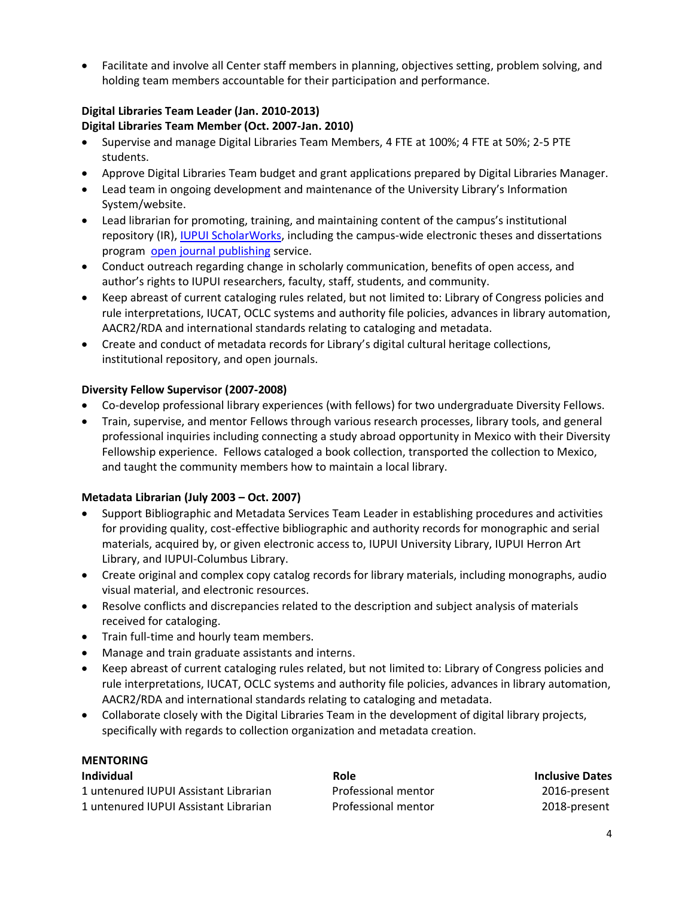• Facilitate and involve all Center staff members in planning, objectives setting, problem solving, and holding team members accountable for their participation and performance.

### **Digital Libraries Team Leader (Jan. 2010-2013) Digital Libraries Team Member (Oct. 2007-Jan. 2010)**

- Supervise and manage Digital Libraries Team Members, 4 FTE at 100%; 4 FTE at 50%; 2-5 PTE students.
- Approve Digital Libraries Team budget and grant applications prepared by Digital Libraries Manager.
- Lead team in ongoing development and maintenance of the University Library's Information System/website.
- Lead librarian for promoting, training, and maintaining content of the campus's institutional repository (IR), [IUPUI ScholarWorks,](https://scholarworks.iupui.edu/) including the campus-wide electronic theses and dissertations program [open journal publishing](https://journals.iupui.edu/) service.
- Conduct outreach regarding change in scholarly communication, benefits of open access, and author's rights to IUPUI researchers, faculty, staff, students, and community.
- Keep abreast of current cataloging rules related, but not limited to: Library of Congress policies and rule interpretations, IUCAT, OCLC systems and authority file policies, advances in library automation, AACR2/RDA and international standards relating to cataloging and metadata.
- Create and conduct of metadata records for Library's digital cultural heritage collections, institutional repository, and open journals.

# **Diversity Fellow Supervisor (2007-2008)**

- Co-develop professional library experiences (with fellows) for two undergraduate Diversity Fellows.
- Train, supervise, and mentor Fellows through various research processes, library tools, and general professional inquiries including connecting a study abroad opportunity in Mexico with their Diversity Fellowship experience. Fellows cataloged a book collection, transported the collection to Mexico, and taught the community members how to maintain a local library.

## **Metadata Librarian (July 2003 – Oct. 2007)**

- Support Bibliographic and Metadata Services Team Leader in establishing procedures and activities for providing quality, cost-effective bibliographic and authority records for monographic and serial materials, acquired by, or given electronic access to, IUPUI University Library, IUPUI Herron Art Library, and IUPUI-Columbus Library.
- Create original and complex copy catalog records for library materials, including monographs, audio visual material, and electronic resources.
- Resolve conflicts and discrepancies related to the description and subject analysis of materials received for cataloging.
- Train full-time and hourly team members.
- Manage and train graduate assistants and interns.
- Keep abreast of current cataloging rules related, but not limited to: Library of Congress policies and rule interpretations, IUCAT, OCLC systems and authority file policies, advances in library automation, AACR2/RDA and international standards relating to cataloging and metadata.
- Collaborate closely with the Digital Libraries Team in the development of digital library projects, specifically with regards to collection organization and metadata creation.

## **MENTORING**

| <b>Individual</b>                     | Role                | <b>Inclusive Dates</b> |
|---------------------------------------|---------------------|------------------------|
| 1 untenured IUPUI Assistant Librarian | Professional mentor | 2016-present           |
| 1 untenured IUPUI Assistant Librarian | Professional mentor | 2018-present           |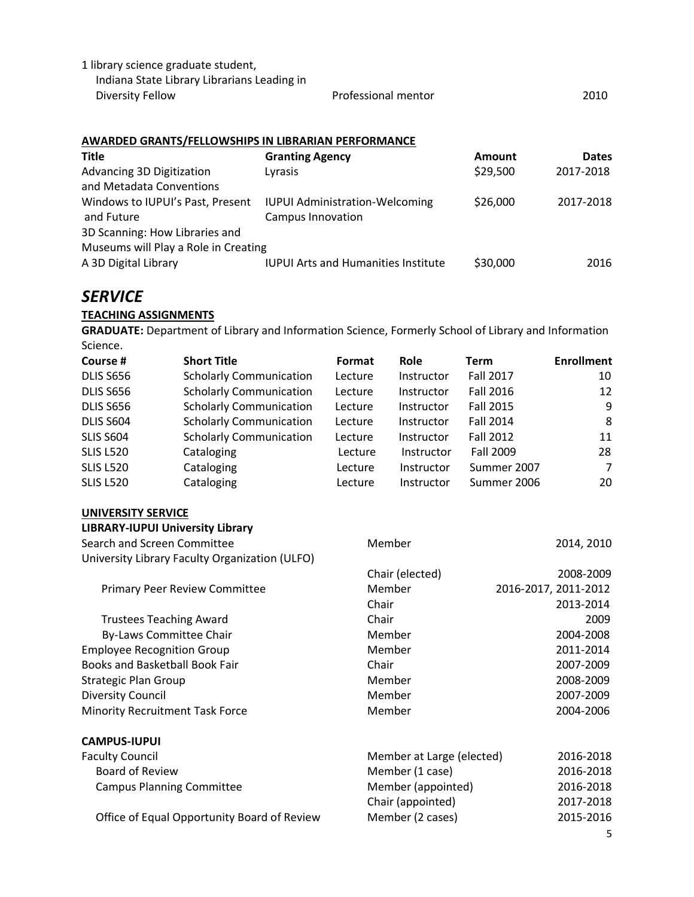| 1 library science graduate student,         |                     |      |
|---------------------------------------------|---------------------|------|
| Indiana State Library Librarians Leading in |                     |      |
| Diversity Fellow                            | Professional mentor | 2010 |

## **AWARDED GRANTS/FELLOWSHIPS IN LIBRARIAN PERFORMANCE**

| <b>Title</b>                         | <b>Granting Agency</b>                     | Amount   | <b>Dates</b> |
|--------------------------------------|--------------------------------------------|----------|--------------|
| Advancing 3D Digitization            | Lyrasis                                    | \$29,500 | 2017-2018    |
| and Metadata Conventions             |                                            |          |              |
| Windows to IUPUI's Past, Present     | <b>IUPUI Administration-Welcoming</b>      | \$26,000 | 2017-2018    |
| and Future                           | <b>Campus Innovation</b>                   |          |              |
| 3D Scanning: How Libraries and       |                                            |          |              |
| Museums will Play a Role in Creating |                                            |          |              |
| A 3D Digital Library                 | <b>IUPUI Arts and Humanities Institute</b> | \$30,000 | 2016         |
|                                      |                                            |          |              |

# *SERVICE*

## **TEACHING ASSIGNMENTS**

**GRADUATE:** Department of Library and Information Science, Formerly School of Library and Information Science.

| Course #         | <b>Short Title</b>             | Format  | <b>Role</b> | Term             | <b>Enrollment</b> |
|------------------|--------------------------------|---------|-------------|------------------|-------------------|
| <b>DLIS S656</b> | <b>Scholarly Communication</b> | Lecture | Instructor  | <b>Fall 2017</b> | 10                |
| <b>DLIS S656</b> | <b>Scholarly Communication</b> | Lecture | Instructor  | <b>Fall 2016</b> | 12                |
| <b>DLIS S656</b> | <b>Scholarly Communication</b> | Lecture | Instructor  | Fall 2015        | 9                 |
| DLIS S604        | <b>Scholarly Communication</b> | Lecture | Instructor  | <b>Fall 2014</b> | 8                 |
| <b>SLIS S604</b> | <b>Scholarly Communication</b> | Lecture | Instructor  | <b>Fall 2012</b> | 11                |
| <b>SLIS L520</b> | Cataloging                     | Lecture | Instructor  | Fall 2009        | 28                |
| <b>SLIS L520</b> | Cataloging                     | Lecture | Instructor  | Summer 2007      | 7                 |
| <b>SLIS L520</b> | Cataloging                     | Lecture | Instructor  | Summer 2006      | 20                |

#### **UNIVERSITY SERVICE**

| <b>LIBRARY-IUPUI University Library</b>        |                           |                      |
|------------------------------------------------|---------------------------|----------------------|
| Search and Screen Committee                    | Member                    | 2014, 2010           |
| University Library Faculty Organization (ULFO) |                           |                      |
|                                                | Chair (elected)           | 2008-2009            |
| <b>Primary Peer Review Committee</b>           | Member                    | 2016-2017, 2011-2012 |
|                                                | Chair                     | 2013-2014            |
| <b>Trustees Teaching Award</b>                 | Chair                     | 2009                 |
| By-Laws Committee Chair                        | Member                    | 2004-2008            |
| <b>Employee Recognition Group</b>              | Member                    | 2011-2014            |
| Books and Basketball Book Fair                 | Chair                     | 2007-2009            |
| <b>Strategic Plan Group</b>                    | Member                    | 2008-2009            |
| <b>Diversity Council</b>                       | Member                    | 2007-2009            |
| <b>Minority Recruitment Task Force</b>         | Member                    | 2004-2006            |
| <b>CAMPUS-IUPUI</b>                            |                           |                      |
| <b>Faculty Council</b>                         | Member at Large (elected) | 2016-2018            |
| <b>Board of Review</b>                         | Member (1 case)           | 2016-2018            |
| <b>Campus Planning Committee</b>               | Member (appointed)        | 2016-2018            |
|                                                | Chair (appointed)         | 2017-2018            |
| Office of Equal Opportunity Board of Review    | Member (2 cases)          | 2015-2016            |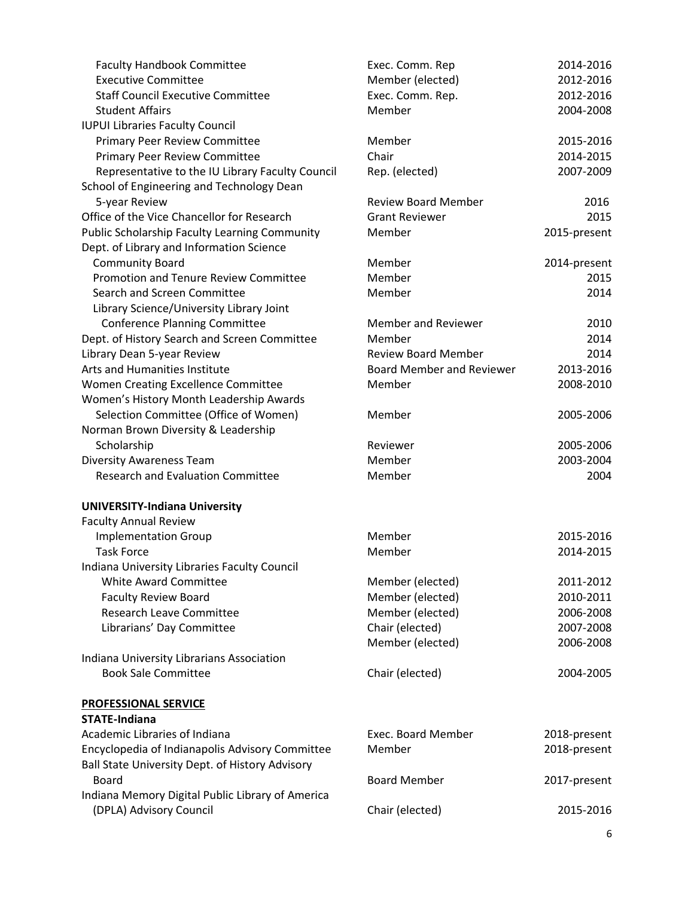| <b>Faculty Handbook Committee</b>                | Exec. Comm. Rep                  | 2014-2016    |
|--------------------------------------------------|----------------------------------|--------------|
| <b>Executive Committee</b>                       | Member (elected)                 | 2012-2016    |
| <b>Staff Council Executive Committee</b>         | Exec. Comm. Rep.                 | 2012-2016    |
| <b>Student Affairs</b>                           | Member                           | 2004-2008    |
| <b>IUPUI Libraries Faculty Council</b>           |                                  |              |
| <b>Primary Peer Review Committee</b>             | Member                           | 2015-2016    |
| <b>Primary Peer Review Committee</b>             | Chair                            | 2014-2015    |
| Representative to the IU Library Faculty Council | Rep. (elected)                   | 2007-2009    |
| School of Engineering and Technology Dean        |                                  |              |
| 5-year Review                                    | <b>Review Board Member</b>       | 2016         |
| Office of the Vice Chancellor for Research       | <b>Grant Reviewer</b>            | 2015         |
| Public Scholarship Faculty Learning Community    | Member                           | 2015-present |
| Dept. of Library and Information Science         |                                  |              |
| <b>Community Board</b>                           | Member                           | 2014-present |
| Promotion and Tenure Review Committee            | Member                           | 2015         |
| Search and Screen Committee                      | Member                           | 2014         |
| Library Science/University Library Joint         |                                  |              |
| <b>Conference Planning Committee</b>             | <b>Member and Reviewer</b>       | 2010         |
| Dept. of History Search and Screen Committee     | Member                           | 2014         |
| Library Dean 5-year Review                       | <b>Review Board Member</b>       | 2014         |
| Arts and Humanities Institute                    | <b>Board Member and Reviewer</b> | 2013-2016    |
| Women Creating Excellence Committee              | Member                           | 2008-2010    |
| Women's History Month Leadership Awards          |                                  |              |
| Selection Committee (Office of Women)            | Member                           | 2005-2006    |
| Norman Brown Diversity & Leadership              |                                  |              |
| Scholarship                                      | Reviewer                         | 2005-2006    |
| <b>Diversity Awareness Team</b>                  | Member                           | 2003-2004    |
| <b>Research and Evaluation Committee</b>         | Member                           | 2004         |
|                                                  |                                  |              |
| <b>UNIVERSITY-Indiana University</b>             |                                  |              |
| <b>Faculty Annual Review</b>                     |                                  |              |
| <b>Implementation Group</b>                      | Member                           | 2015-2016    |
| <b>Task Force</b>                                | Member                           | 2014-2015    |
| Indiana University Libraries Faculty Council     |                                  |              |
| <b>White Award Committee</b>                     | Member (elected)                 | 2011-2012    |
| <b>Faculty Review Board</b>                      | Member (elected)                 | 2010-2011    |
| <b>Research Leave Committee</b>                  | Member (elected)                 | 2006-2008    |
| Librarians' Day Committee                        | Chair (elected)                  | 2007-2008    |
|                                                  | Member (elected)                 | 2006-2008    |
| Indiana University Librarians Association        |                                  |              |
| <b>Book Sale Committee</b>                       | Chair (elected)                  | 2004-2005    |
|                                                  |                                  |              |
| <b>PROFESSIONAL SERVICE</b>                      |                                  |              |
| <b>STATE-Indiana</b>                             |                                  |              |
| Academic Libraries of Indiana                    | <b>Exec. Board Member</b>        | 2018-present |
| Encyclopedia of Indianapolis Advisory Committee  | Member                           | 2018-present |
| Ball State University Dept. of History Advisory  |                                  |              |
| <b>Board</b>                                     | <b>Board Member</b>              | 2017-present |
| Indiana Memory Digital Public Library of America |                                  |              |
| (DPLA) Advisory Council                          | Chair (elected)                  | 2015-2016    |
|                                                  |                                  |              |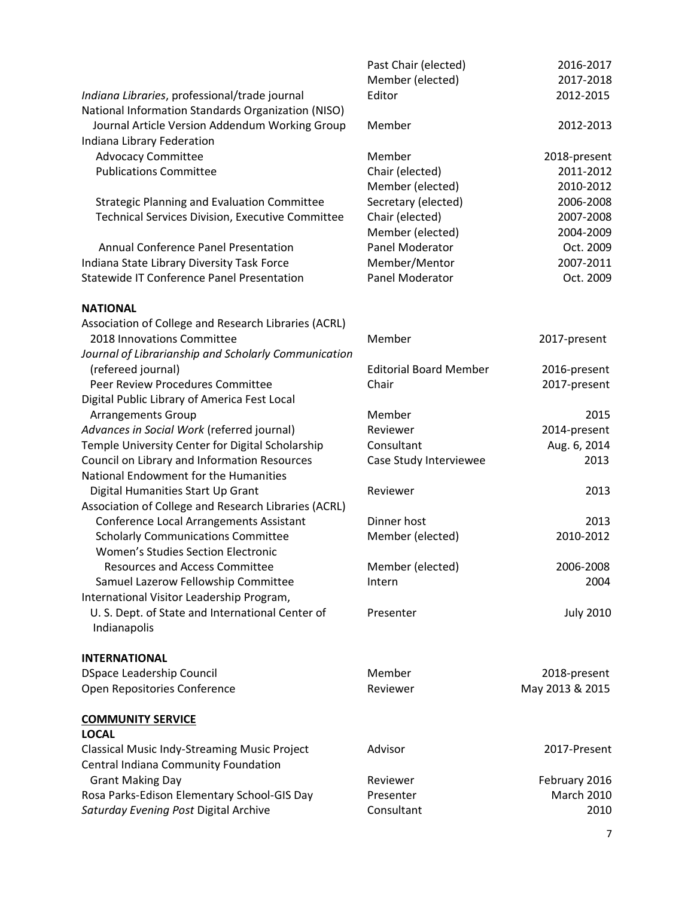|                                                         | Past Chair (elected)          | 2016-2017        |
|---------------------------------------------------------|-------------------------------|------------------|
|                                                         | Member (elected)              | 2017-2018        |
| Indiana Libraries, professional/trade journal           | Editor                        | 2012-2015        |
| National Information Standards Organization (NISO)      |                               |                  |
| Journal Article Version Addendum Working Group          | Member                        | 2012-2013        |
| Indiana Library Federation                              |                               |                  |
| <b>Advocacy Committee</b>                               | Member                        | 2018-present     |
| <b>Publications Committee</b>                           | Chair (elected)               | 2011-2012        |
|                                                         | Member (elected)              | 2010-2012        |
| <b>Strategic Planning and Evaluation Committee</b>      | Secretary (elected)           | 2006-2008        |
| <b>Technical Services Division, Executive Committee</b> | Chair (elected)               | 2007-2008        |
|                                                         | Member (elected)              | 2004-2009        |
| <b>Annual Conference Panel Presentation</b>             | Panel Moderator               | Oct. 2009        |
| Indiana State Library Diversity Task Force              | Member/Mentor                 | 2007-2011        |
| <b>Statewide IT Conference Panel Presentation</b>       | Panel Moderator               | Oct. 2009        |
| <b>NATIONAL</b>                                         |                               |                  |
| Association of College and Research Libraries (ACRL)    |                               |                  |
| 2018 Innovations Committee                              | Member                        | 2017-present     |
| Journal of Librarianship and Scholarly Communication    |                               |                  |
| (refereed journal)                                      | <b>Editorial Board Member</b> | 2016-present     |
| Peer Review Procedures Committee                        | Chair                         | 2017-present     |
| Digital Public Library of America Fest Local            |                               |                  |
| <b>Arrangements Group</b>                               | Member                        | 2015             |
| Advances in Social Work (referred journal)              | Reviewer                      | 2014-present     |
| Temple University Center for Digital Scholarship        | Consultant                    | Aug. 6, 2014     |
| Council on Library and Information Resources            | Case Study Interviewee        | 2013             |
| National Endowment for the Humanities                   |                               |                  |
| Digital Humanities Start Up Grant                       | Reviewer                      | 2013             |
| Association of College and Research Libraries (ACRL)    |                               |                  |
| Conference Local Arrangements Assistant                 | Dinner host                   | 2013             |
| <b>Scholarly Communications Committee</b>               | Member (elected)              | 2010-2012        |
| Women's Studies Section Electronic                      |                               |                  |
| <b>Resources and Access Committee</b>                   | Member (elected)              | 2006-2008        |
| Samuel Lazerow Fellowship Committee                     | Intern                        | 2004             |
| International Visitor Leadership Program,               |                               |                  |
| U. S. Dept. of State and International Center of        | Presenter                     | <b>July 2010</b> |
| Indianapolis                                            |                               |                  |
| <b>INTERNATIONAL</b>                                    |                               |                  |
| <b>DSpace Leadership Council</b>                        | Member                        | 2018-present     |
| Open Repositories Conference                            | Reviewer                      | May 2013 & 2015  |
| <b>COMMUNITY SERVICE</b>                                |                               |                  |
| <b>LOCAL</b>                                            |                               |                  |
| <b>Classical Music Indy-Streaming Music Project</b>     | Advisor                       | 2017-Present     |
| Central Indiana Community Foundation                    |                               |                  |
| <b>Grant Making Day</b>                                 | Reviewer                      | February 2016    |
| Rosa Parks-Edison Elementary School-GIS Day             | Presenter                     | March 2010       |
| Saturday Evening Post Digital Archive                   | Consultant                    | 2010             |
|                                                         |                               |                  |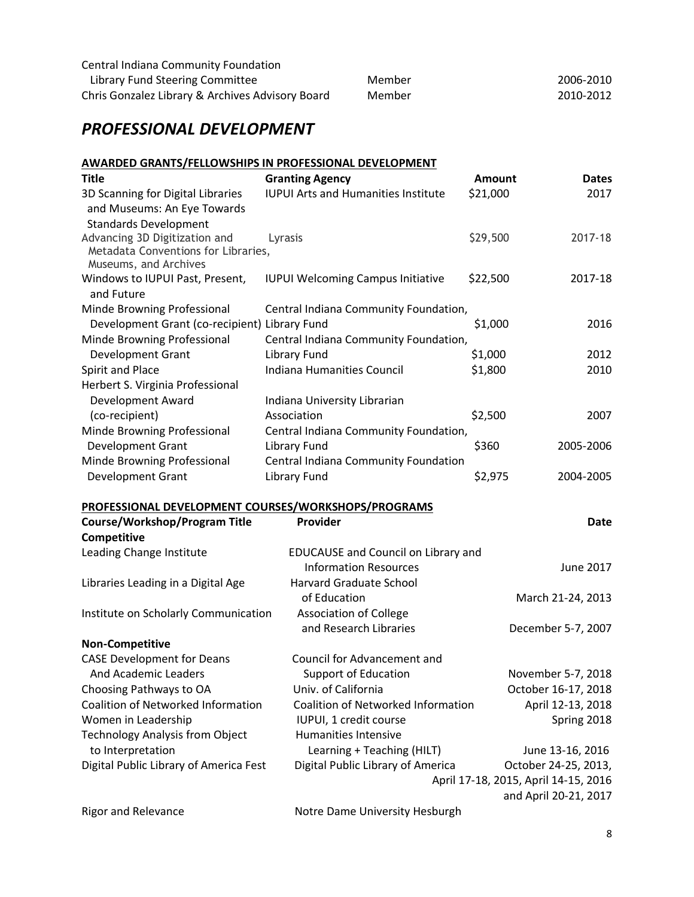| Central Indiana Community Foundation             |        |           |
|--------------------------------------------------|--------|-----------|
| Library Fund Steering Committee                  | Member | 2006-2010 |
| Chris Gonzalez Library & Archives Advisory Board | Member | 2010-2012 |

# *PROFESSIONAL DEVELOPMENT*

# **AWARDED GRANTS/FELLOWSHIPS IN PROFESSIONAL DEVELOPMENT**

| . <u>. .</u><br><b>Title</b>                        | <b>Granting Agency</b>                     | <b>Amount</b>                        | <b>Dates</b>          |
|-----------------------------------------------------|--------------------------------------------|--------------------------------------|-----------------------|
| 3D Scanning for Digital Libraries                   | <b>IUPUI Arts and Humanities Institute</b> | \$21,000                             | 2017                  |
| and Museums: An Eye Towards                         |                                            |                                      |                       |
| <b>Standards Development</b>                        |                                            |                                      |                       |
| Advancing 3D Digitization and                       | Lyrasis                                    | \$29,500                             | 2017-18               |
| Metadata Conventions for Libraries,                 |                                            |                                      |                       |
| Museums, and Archives                               |                                            |                                      |                       |
| Windows to IUPUI Past, Present,<br>and Future       | <b>IUPUI Welcoming Campus Initiative</b>   | \$22,500                             | 2017-18               |
| Minde Browning Professional                         | Central Indiana Community Foundation,      |                                      |                       |
| Development Grant (co-recipient) Library Fund       |                                            | \$1,000                              | 2016                  |
| Minde Browning Professional                         | Central Indiana Community Foundation,      |                                      |                       |
| <b>Development Grant</b>                            | Library Fund                               | \$1,000                              | 2012                  |
| Spirit and Place                                    | Indiana Humanities Council                 | \$1,800                              | 2010                  |
| Herbert S. Virginia Professional                    |                                            |                                      |                       |
| Development Award                                   | Indiana University Librarian               |                                      |                       |
| (co-recipient)                                      | Association                                | \$2,500                              | 2007                  |
| Minde Browning Professional                         | Central Indiana Community Foundation,      |                                      |                       |
| Development Grant                                   | <b>Library Fund</b>                        | \$360                                | 2005-2006             |
| Minde Browning Professional                         | Central Indiana Community Foundation       |                                      |                       |
| <b>Development Grant</b>                            | <b>Library Fund</b>                        | \$2,975                              | 2004-2005             |
| PROFESSIONAL DEVELOPMENT COURSES/WORKSHOPS/PROGRAMS |                                            |                                      |                       |
| <b>Course/Workshop/Program Title</b>                | Provider                                   |                                      | Date                  |
| Competitive                                         |                                            |                                      |                       |
| Leading Change Institute                            | EDUCAUSE and Council on Library and        |                                      |                       |
|                                                     | <b>Information Resources</b>               |                                      | June 2017             |
| Libraries Leading in a Digital Age                  | <b>Harvard Graduate School</b>             |                                      |                       |
|                                                     | of Education                               |                                      | March 21-24, 2013     |
| Institute on Scholarly Communication                | <b>Association of College</b>              |                                      |                       |
|                                                     | and Research Libraries                     |                                      | December 5-7, 2007    |
| <b>Non-Competitive</b>                              |                                            |                                      |                       |
| <b>CASE Development for Deans</b>                   | <b>Council for Advancement and</b>         |                                      |                       |
| And Academic Leaders                                | Support of Education                       |                                      | November 5-7, 2018    |
| Choosing Pathways to OA                             | Univ. of California                        |                                      | October 16-17, 2018   |
| Coalition of Networked Information                  | Coalition of Networked Information         |                                      | April 12-13, 2018     |
| Women in Leadership                                 | IUPUI, 1 credit course                     |                                      | Spring 2018           |
| <b>Technology Analysis from Object</b>              | <b>Humanities Intensive</b>                |                                      |                       |
| to Interpretation                                   | Learning + Teaching (HILT)                 |                                      | June 13-16, 2016      |
| Digital Public Library of America Fest              | Digital Public Library of America          |                                      | October 24-25, 2013,  |
|                                                     |                                            | April 17-18, 2015, April 14-15, 2016 |                       |
|                                                     |                                            |                                      | and April 20-21, 2017 |
| <b>Rigor and Relevance</b>                          | Notre Dame University Hesburgh             |                                      |                       |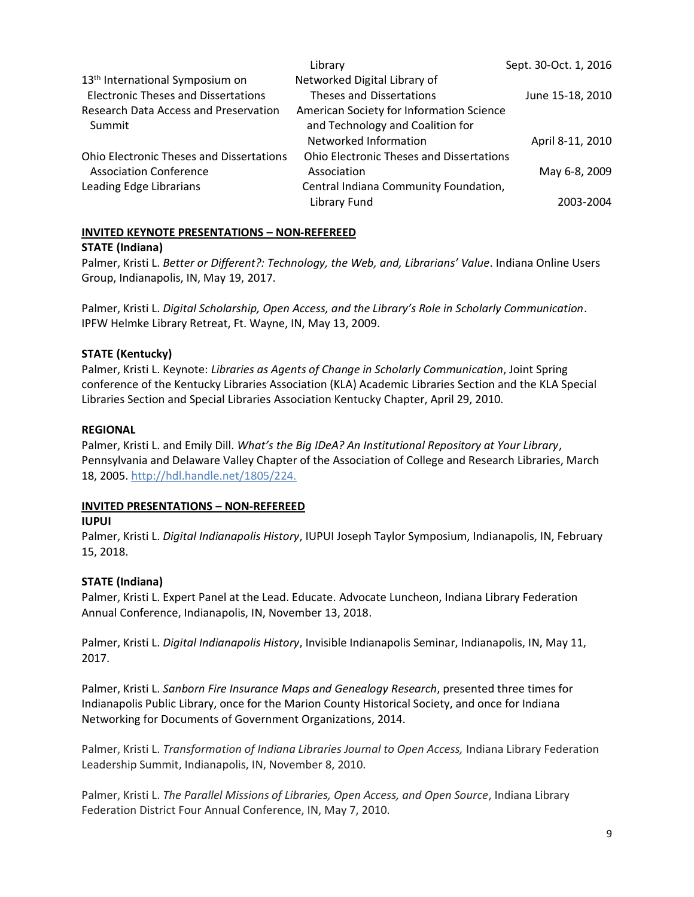|                                                 | Library                                         | Sept. 30-Oct. 1, 2016 |
|-------------------------------------------------|-------------------------------------------------|-----------------------|
| 13 <sup>th</sup> International Symposium on     | Networked Digital Library of                    |                       |
| <b>Electronic Theses and Dissertations</b>      | Theses and Dissertations                        | June 15-18, 2010      |
| <b>Research Data Access and Preservation</b>    | American Society for Information Science        |                       |
| Summit                                          | and Technology and Coalition for                |                       |
|                                                 | Networked Information                           | April 8-11, 2010      |
| <b>Ohio Electronic Theses and Dissertations</b> | <b>Ohio Electronic Theses and Dissertations</b> |                       |
| <b>Association Conference</b>                   | Association                                     | May 6-8, 2009         |
| Leading Edge Librarians                         | Central Indiana Community Foundation,           |                       |
|                                                 | Library Fund                                    | 2003-2004             |

## **INVITED KEYNOTE PRESENTATIONS – NON-REFEREED**

## **STATE (Indiana)**

Palmer, Kristi L. *Better or Different?: Technology, the Web, and, Librarians' Value*. Indiana Online Users Group, Indianapolis, IN, May 19, 2017.

Palmer, Kristi L. *Digital Scholarship, Open Access, and the Library's Role in Scholarly Communication*. IPFW Helmke Library Retreat, Ft. Wayne, IN, May 13, 2009.

## **STATE (Kentucky)**

Palmer, Kristi L. Keynote: *Libraries as Agents of Change in Scholarly Communication*, Joint Spring conference of the Kentucky Libraries Association (KLA) Academic Libraries Section and the KLA Special Libraries Section and Special Libraries Association Kentucky Chapter, April 29, 2010.

## **REGIONAL**

Palmer, Kristi L. and Emily Dill. *What's the Big IDeA? An Institutional Repository at Your Library*, Pennsylvania and Delaware Valley Chapter of the Association of College and Research Libraries, March 18, 2005. [http://hdl.handle.net/1805/224.](http://hdl.handle.net/1805/224)

## **INVITED PRESENTATIONS – NON-REFEREED**

## **IUPUI**

Palmer, Kristi L. *Digital Indianapolis History*, IUPUI Joseph Taylor Symposium, Indianapolis, IN, February 15, 2018.

## **STATE (Indiana)**

Palmer, Kristi L. Expert Panel at the Lead. Educate. Advocate Luncheon, Indiana Library Federation Annual Conference, Indianapolis, IN, November 13, 2018.

Palmer, Kristi L. *Digital Indianapolis History*, Invisible Indianapolis Seminar, Indianapolis, IN, May 11, 2017.

Palmer, Kristi L. *Sanborn Fire Insurance Maps and Genealogy Research*, presented three times for Indianapolis Public Library, once for the Marion County Historical Society, and once for Indiana Networking for Documents of Government Organizations, 2014.

Palmer, Kristi L. *Transformation of Indiana Libraries Journal to Open Access,* Indiana Library Federation Leadership Summit, Indianapolis, IN, November 8, 2010.

Palmer, Kristi L. *The Parallel Missions of Libraries, Open Access, and Open Source*, Indiana Library Federation District Four Annual Conference, IN, May 7, 2010.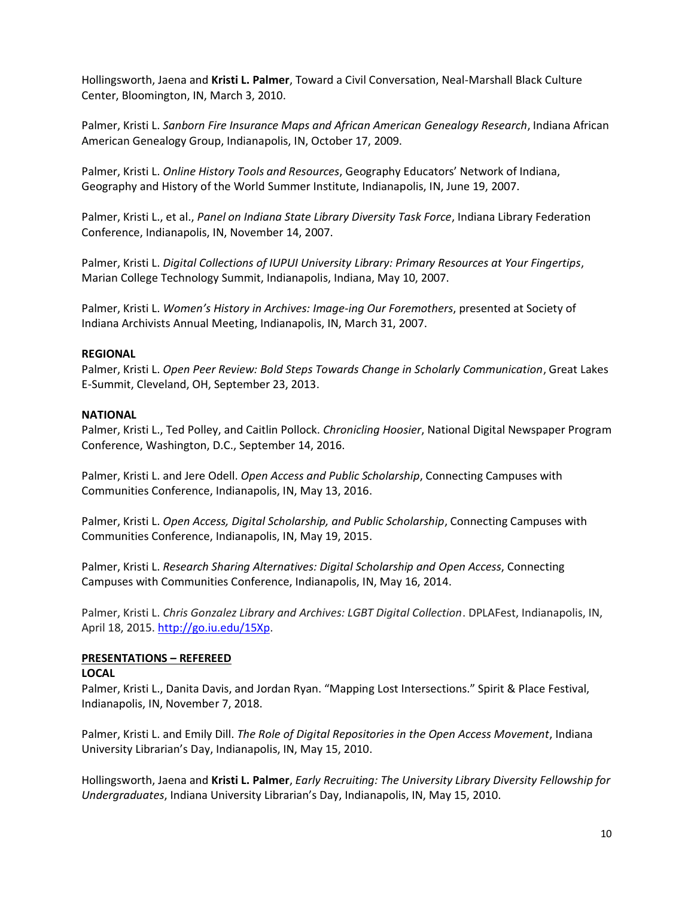Hollingsworth, Jaena and **Kristi L. Palmer**, Toward a Civil Conversation, Neal-Marshall Black Culture Center, Bloomington, IN, March 3, 2010.

Palmer, Kristi L. *Sanborn Fire Insurance Maps and African American Genealogy Research*, Indiana African American Genealogy Group, Indianapolis, IN, October 17, 2009.

Palmer, Kristi L. *Online History Tools and Resources*, Geography Educators' Network of Indiana, Geography and History of the World Summer Institute, Indianapolis, IN, June 19, 2007.

Palmer, Kristi L., et al., *Panel on Indiana State Library Diversity Task Force*, Indiana Library Federation Conference, Indianapolis, IN, November 14, 2007.

Palmer, Kristi L. *Digital Collections of IUPUI University Library: Primary Resources at Your Fingertips*, Marian College Technology Summit, Indianapolis, Indiana, May 10, 2007.

Palmer, Kristi L. *Women's History in Archives: Image-ing Our Foremothers*, presented at Society of Indiana Archivists Annual Meeting, Indianapolis, IN, March 31, 2007.

## **REGIONAL**

Palmer, Kristi L. *Open Peer Review: Bold Steps Towards Change in Scholarly Communication*, Great Lakes E-Summit, Cleveland, OH, September 23, 2013.

#### **NATIONAL**

Palmer, Kristi L., Ted Polley, and Caitlin Pollock. *Chronicling Hoosier*, National Digital Newspaper Program Conference, Washington, D.C., September 14, 2016.

Palmer, Kristi L. and Jere Odell. *Open Access and Public Scholarship*, Connecting Campuses with Communities Conference, Indianapolis, IN, May 13, 2016.

Palmer, Kristi L. *Open Access, Digital Scholarship, and Public Scholarship*, Connecting Campuses with Communities Conference, Indianapolis, IN, May 19, 2015.

Palmer, Kristi L. *Research Sharing Alternatives: Digital Scholarship and Open Access*, Connecting Campuses with Communities Conference, Indianapolis, IN, May 16, 2014.

Palmer, Kristi L. *Chris Gonzalez Library and Archives: LGBT Digital Collection*. DPLAFest, Indianapolis, IN, April 18, 2015. [http://go.iu.edu/15Xp.](http://go.iu.edu/15Xp)

## **PRESENTATIONS – REFEREED**

#### **LOCAL**

Palmer, Kristi L., Danita Davis, and Jordan Ryan. "Mapping Lost Intersections." Spirit & Place Festival, Indianapolis, IN, November 7, 2018.

Palmer, Kristi L. and Emily Dill. *The Role of Digital Repositories in the Open Access Movement*, Indiana University Librarian's Day, Indianapolis, IN, May 15, 2010.

Hollingsworth, Jaena and **Kristi L. Palmer**, *Early Recruiting: The University Library Diversity Fellowship for Undergraduates*, Indiana University Librarian's Day, Indianapolis, IN, May 15, 2010.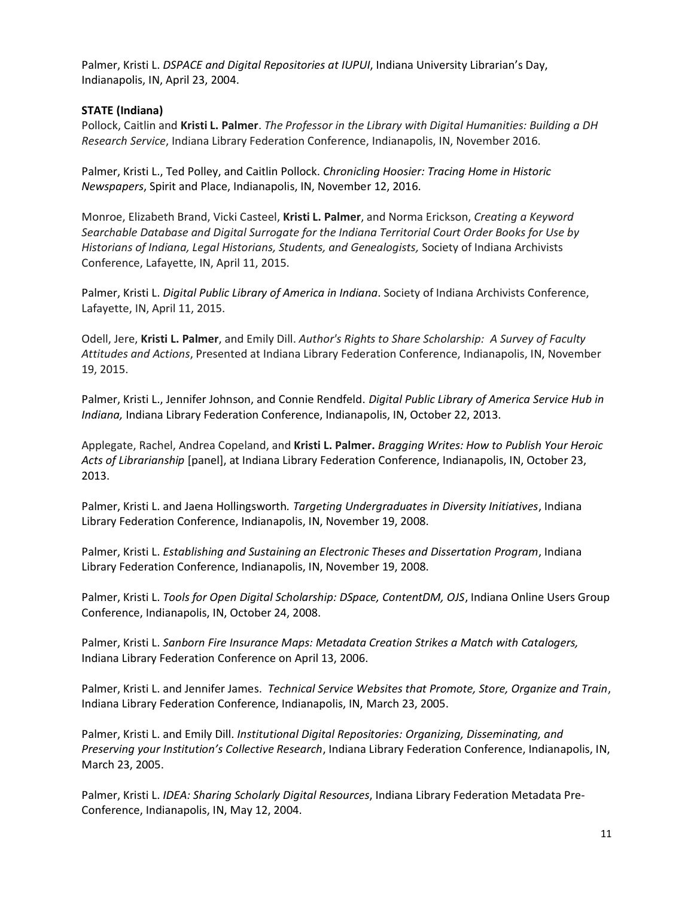Palmer, Kristi L. *DSPACE and Digital Repositories at IUPUI*, Indiana University Librarian's Day, Indianapolis, IN, April 23, 2004.

## **STATE (Indiana)**

Pollock, Caitlin and **Kristi L. Palmer**. *The Professor in the Library with Digital Humanities: Building a DH Research Service*, Indiana Library Federation Conference, Indianapolis, IN, November 2016.

Palmer, Kristi L., Ted Polley, and Caitlin Pollock. *Chronicling Hoosier: Tracing Home in Historic Newspapers*, Spirit and Place, Indianapolis, IN, November 12, 2016.

Monroe, Elizabeth Brand, Vicki Casteel, **Kristi L. Palmer**, and Norma Erickson, *Creating a Keyword Searchable Database and Digital Surrogate for the Indiana Territorial Court Order Books for Use by Historians of Indiana, Legal Historians, Students, and Genealogists,* Society of Indiana Archivists Conference, Lafayette, IN, April 11, 2015.

Palmer, Kristi L. *Digital Public Library of America in Indiana*. Society of Indiana Archivists Conference, Lafayette, IN, April 11, 2015.

Odell, Jere, **Kristi L. Palmer**, and Emily Dill. *Author's Rights to Share Scholarship: A Survey of Faculty Attitudes and Actions*, Presented at Indiana Library Federation Conference, Indianapolis, IN, November 19, 2015.

Palmer, Kristi L., Jennifer Johnson, and Connie Rendfeld. *Digital Public Library of America Service Hub in Indiana,* Indiana Library Federation Conference, Indianapolis, IN, October 22, 2013.

Applegate, Rachel, Andrea Copeland, and **Kristi L. Palmer.** *Bragging Writes: How to Publish Your Heroic Acts of Librarianship* [panel], at Indiana Library Federation Conference, Indianapolis, IN, October 23, 2013.

Palmer, Kristi L. and Jaena Hollingsworth*. Targeting Undergraduates in Diversity Initiatives*, Indiana Library Federation Conference, Indianapolis, IN, November 19, 2008.

Palmer, Kristi L. *Establishing and Sustaining an Electronic Theses and Dissertation Program*, Indiana Library Federation Conference, Indianapolis, IN, November 19, 2008.

Palmer, Kristi L. *Tools for Open Digital Scholarship: DSpace, ContentDM, OJS*, Indiana Online Users Group Conference, Indianapolis, IN, October 24, 2008.

Palmer, Kristi L. *Sanborn Fire Insurance Maps: Metadata Creation Strikes a Match with Catalogers,*  Indiana Library Federation Conference on April 13, 2006.

Palmer, Kristi L. and Jennifer James. *Technical Service Websites that Promote, Store, Organize and Train*, Indiana Library Federation Conference, Indianapolis, IN, March 23, 2005.

Palmer, Kristi L. and Emily Dill. *Institutional Digital Repositories: Organizing, Disseminating, and Preserving your Institution's Collective Research*, Indiana Library Federation Conference, Indianapolis, IN, March 23, 2005.

Palmer, Kristi L. *IDEA: Sharing Scholarly Digital Resources*, Indiana Library Federation Metadata Pre-Conference, Indianapolis, IN, May 12, 2004.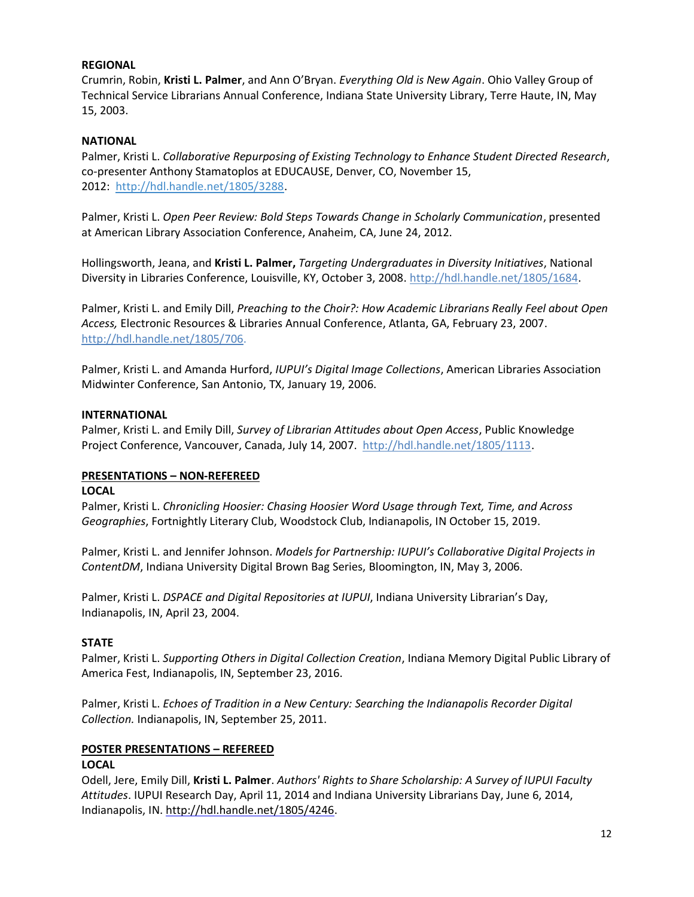## **REGIONAL**

Crumrin, Robin, **Kristi L. Palmer**, and Ann O'Bryan. *Everything Old is New Again*. Ohio Valley Group of Technical Service Librarians Annual Conference, Indiana State University Library, Terre Haute, IN, May 15, 2003.

## **NATIONAL**

Palmer, Kristi L. *Collaborative Repurposing of Existing Technology to Enhance Student Directed Research*, co-presenter Anthony Stamatoplos at EDUCAUSE, Denver, CO, November 15, 2012: [http://hdl.handle.net/1805/3288.](http://hdl.handle.net/1805/3288)

Palmer, Kristi L. *Open Peer Review: Bold Steps Towards Change in Scholarly Communication*, presented at American Library Association Conference, Anaheim, CA, June 24, 2012.

Hollingsworth, Jeana, and **Kristi L. Palmer,** *Targeting Undergraduates in Diversity Initiatives*, National Diversity in Libraries Conference, Louisville, KY, October 3, 2008. [http://hdl.handle.net/1805/1684.](http://hdl.handle.net/1805/1684)

Palmer, Kristi L. and Emily Dill, *Preaching to the Choir?: How Academic Librarians Really Feel about Open Access,* Electronic Resources & Libraries Annual Conference, Atlanta, GA, February 23, 2007. [http://hdl.handle.net/1805/706.](http://hdl.handle.net/1805/706)

Palmer, Kristi L. and Amanda Hurford, *IUPUI's Digital Image Collections*, American Libraries Association Midwinter Conference, San Antonio, TX, January 19, 2006.

## **INTERNATIONAL**

Palmer, Kristi L. and Emily Dill, *Survey of Librarian Attitudes about Open Access*, Public Knowledge Project Conference, Vancouver, Canada, July 14, 2007. [http://hdl.handle.net/1805/1113.](http://hdl.handle.net/1805/1113)

# **PRESENTATIONS – NON-REFEREED**

#### **LOCAL**

Palmer, Kristi L. *Chronicling Hoosier: Chasing Hoosier Word Usage through Text, Time, and Across Geographies*, Fortnightly Literary Club, Woodstock Club, Indianapolis, IN October 15, 2019.

Palmer, Kristi L. and Jennifer Johnson. *Models for Partnership: IUPUI's Collaborative Digital Projects in ContentDM*, Indiana University Digital Brown Bag Series, Bloomington, IN, May 3, 2006.

Palmer, Kristi L. *DSPACE and Digital Repositories at IUPUI*, Indiana University Librarian's Day, Indianapolis, IN, April 23, 2004.

## **STATE**

Palmer, Kristi L. *Supporting Others in Digital Collection Creation*, Indiana Memory Digital Public Library of America Fest, Indianapolis, IN, September 23, 2016.

Palmer, Kristi L. *Echoes of Tradition in a New Century: Searching the Indianapolis Recorder Digital Collection.* Indianapolis, IN, September 25, 2011.

## **POSTER PRESENTATIONS – REFEREED**

## **LOCAL**

Odell, Jere, Emily Dill, **Kristi L. Palmer**. *Authors' Rights to Share Scholarship: A Survey of IUPUI Faculty Attitudes*. IUPUI Research Day, April 11, 2014 and Indiana University Librarians Day, June 6, 2014, Indianapolis, IN. [http://hdl.handle.net/1805/4246.](http://hdl.handle.net/1805/4246)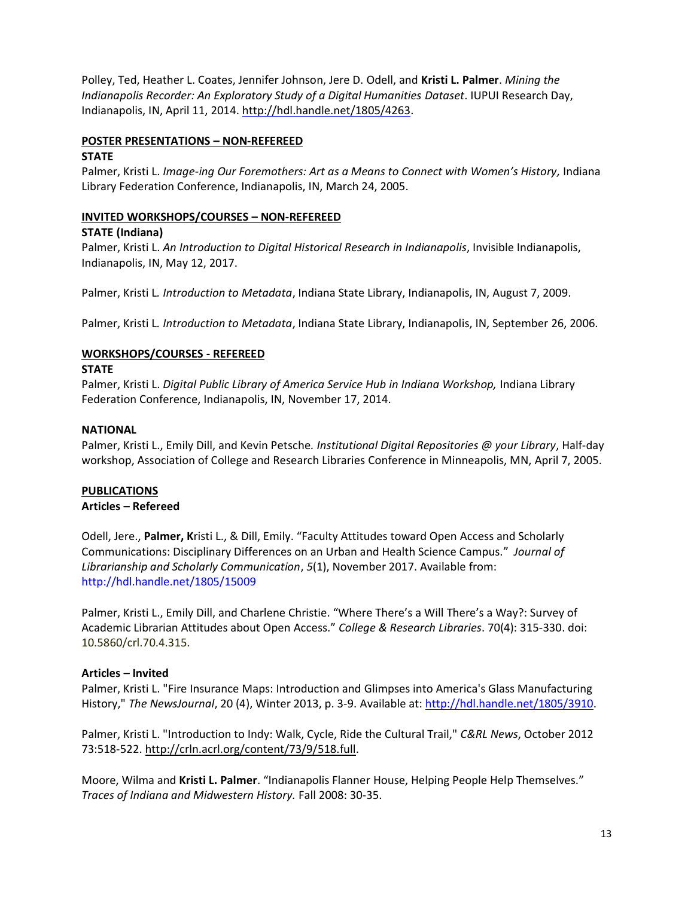Polley, Ted, Heather L. Coates, Jennifer Johnson, Jere D. Odell, and **Kristi L. Palmer**. *Mining the Indianapolis Recorder: An Exploratory Study of a Digital Humanities Dataset*. IUPUI Research Day, Indianapolis, IN, April 11, 2014. [http://hdl.handle.net/1805/4263.](http://hdl.handle.net/1805/4263)

## **POSTER PRESENTATIONS – NON-REFEREED**

#### **STATE**

Palmer, Kristi L. *Image-ing Our Foremothers: Art as a Means to Connect with Women's History,* Indiana Library Federation Conference, Indianapolis, IN, March 24, 2005.

## **INVITED WORKSHOPS/COURSES – NON-REFEREED**

#### **STATE (Indiana)**

Palmer, Kristi L. *An Introduction to Digital Historical Research in Indianapolis*, Invisible Indianapolis, Indianapolis, IN, May 12, 2017.

Palmer, Kristi L*. Introduction to Metadata*, Indiana State Library, Indianapolis, IN, August 7, 2009.

Palmer, Kristi L*. Introduction to Metadata*, Indiana State Library, Indianapolis, IN, September 26, 2006.

## **WORKSHOPS/COURSES - REFEREED**

#### **STATE**

Palmer, Kristi L. *Digital Public Library of America Service Hub in Indiana Workshop,* Indiana Library Federation Conference, Indianapolis, IN, November 17, 2014.

#### **NATIONAL**

Palmer, Kristi L., Emily Dill, and Kevin Petsche*. Institutional Digital Repositories @ your Library*, Half-day workshop, Association of College and Research Libraries Conference in Minneapolis, MN, April 7, 2005.

## **PUBLICATIONS**

## **Articles – Refereed**

Odell, Jere., **Palmer, K**risti L., & Dill, Emily. "Faculty Attitudes toward Open Access and Scholarly Communications: Disciplinary Differences on an Urban and Health Science Campus." *Journal of Librarianship and Scholarly Communication*, *5*(1), November 2017. Available from: http://hdl.handle.net/1805/15009

Palmer, Kristi L., Emily Dill, and Charlene Christie. "Where There's a Will There's a Way?: Survey of Academic Librarian Attitudes about Open Access." *College & Research Libraries*. 70(4): 315-330. doi: 10.5860/crl.70.4.315.

## **Articles – Invited**

Palmer, Kristi L. "Fire Insurance Maps: Introduction and Glimpses into America's Glass Manufacturing History," *The NewsJournal*, 20 (4), Winter 2013, p. 3-9. Available at: [http://hdl.handle.net/1805/3910.](http://hdl.handle.net/1805/3910)

Palmer, Kristi L. "Introduction to Indy: Walk, Cycle, Ride the Cultural Trail," *C&RL News*, October 2012 73:518-522. [http://crln.acrl.org/content/73/9/518.full.](http://crln.acrl.org/content/73/9/518.full)

Moore, Wilma and **Kristi L. Palmer**. "Indianapolis Flanner House, Helping People Help Themselves." *Traces of Indiana and Midwestern History.* Fall 2008: 30-35.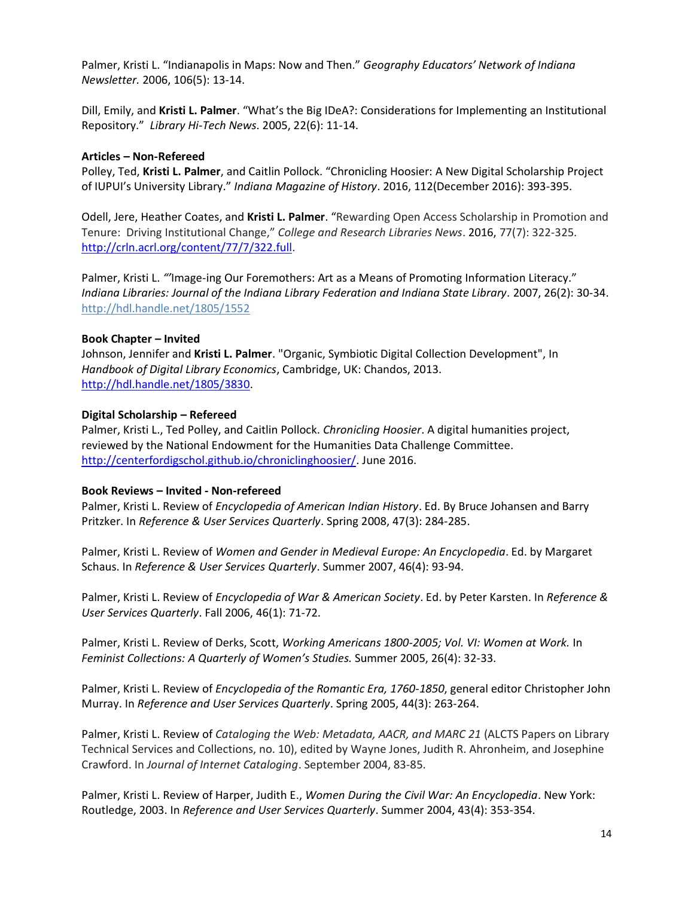Palmer, Kristi L. "Indianapolis in Maps: Now and Then." *Geography Educators' Network of Indiana Newsletter.* 2006, 106(5): 13-14.

Dill, Emily, and **Kristi L. Palmer**. "What's the Big IDeA?: Considerations for Implementing an Institutional Repository." *Library Hi-Tech News*. 2005, 22(6): 11-14.

#### **Articles – Non-Refereed**

Polley, Ted, **Kristi L. Palmer**, and Caitlin Pollock. "Chronicling Hoosier: A New Digital Scholarship Project of IUPUI's University Library." *Indiana Magazine of History*. 2016, 112(December 2016): 393-395.

Odell, Jere, Heather Coates, and **Kristi L. Palmer**. "Rewarding Open Access Scholarship in Promotion and Tenure: Driving Institutional Change," *College and Research Libraries News*. 2016, 77(7): 322-325. [http://crln.acrl.org/content/77/7/322.full.](http://crln.acrl.org/content/77/7/322.full)

Palmer, Kristi L. *"'*Image-ing Our Foremothers: Art as a Means of Promoting Information Literacy." *Indiana Libraries: Journal of the Indiana Library Federation and Indiana State Library.* 2007, 26(2): 30-34. <http://hdl.handle.net/1805/1552>

#### **Book Chapter – Invited**

Johnson, Jennifer and **Kristi L. Palmer**. "Organic, Symbiotic Digital Collection Development", In *Handbook of Digital Library Economics*, Cambridge, UK: Chandos, 2013. [http://hdl.handle.net/1805/3830.](http://hdl.handle.net/1805/3830)

#### **Digital Scholarship – Refereed**

Palmer, Kristi L., Ted Polley, and Caitlin Pollock. *Chronicling Hoosier*. A digital humanities project, reviewed by the National Endowment for the Humanities Data Challenge Committee. [http://centerfordigschol.github.io/chroniclinghoosier/.](http://centerfordigschol.github.io/chroniclinghoosier/) June 2016.

#### **Book Reviews – Invited - Non-refereed**

Palmer, Kristi L. Review of *Encyclopedia of American Indian History*. Ed. By Bruce Johansen and Barry Pritzker. In *Reference & User Services Quarterly*. Spring 2008, 47(3): 284-285.

Palmer, Kristi L. Review of *Women and Gender in Medieval Europe: An Encyclopedia*. Ed. by Margaret Schaus. In *Reference & User Services Quarterly*. Summer 2007, 46(4): 93-94.

Palmer, Kristi L. Review of *Encyclopedia of War & American Society*. Ed. by Peter Karsten. In *Reference & User Services Quarterly*. Fall 2006, 46(1): 71-72.

Palmer, Kristi L. Review of Derks, Scott, *Working Americans 1800-2005; Vol. VI: Women at Work.* In *Feminist Collections: A Quarterly of Women's Studies.* Summer 2005, 26(4): 32-33.

Palmer, Kristi L. Review of *Encyclopedia of the Romantic Era, 1760-1850*, general editor Christopher John Murray. In *Reference and User Services Quarterly*. Spring 2005, 44(3): 263-264.

Palmer, Kristi L. Review of *Cataloging the Web: Metadata, AACR, and MARC 21* (ALCTS Papers on Library Technical Services and Collections, no. 10), edited by Wayne Jones, Judith R. Ahronheim, and Josephine Crawford. In *Journal of Internet Cataloging*. September 2004, 83-85.

Palmer, Kristi L. Review of Harper, Judith E., *Women During the Civil War: An Encyclopedia*. New York: Routledge, 2003. In *Reference and User Services Quarterly*. Summer 2004, 43(4): 353-354.